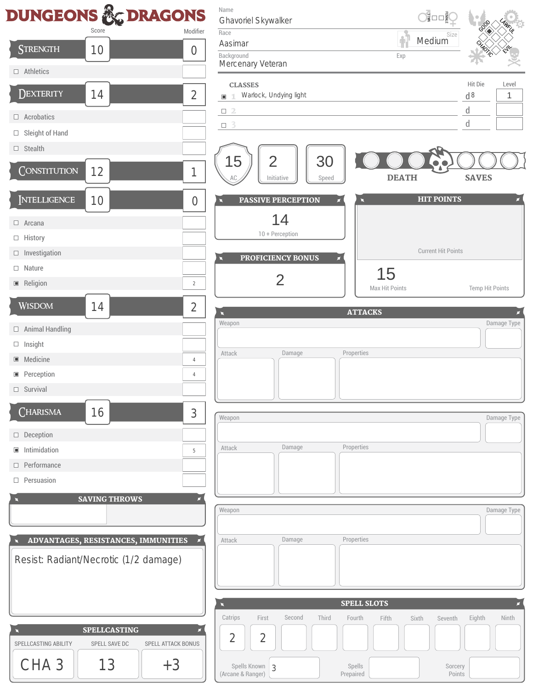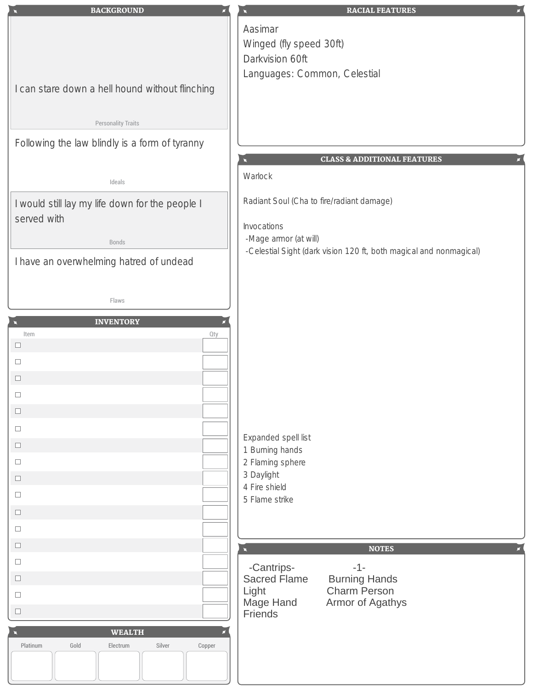| <b>BACKGROUND</b>                                              | <b>RACIAL FEATURES</b>                                                                      |
|----------------------------------------------------------------|---------------------------------------------------------------------------------------------|
|                                                                | Aasimar                                                                                     |
|                                                                | Winged (fly speed 30ft)                                                                     |
|                                                                | Darkvision 60ft                                                                             |
|                                                                | Languages: Common, Celestial                                                                |
| I can stare down a hell hound without flinching                |                                                                                             |
|                                                                |                                                                                             |
| <b>Personality Traits</b>                                      |                                                                                             |
|                                                                |                                                                                             |
| Following the law blindly is a form of tyranny                 |                                                                                             |
|                                                                | <b>CLASS &amp; ADDITIONAL FEATURES</b>                                                      |
| Ideals                                                         | Warlock                                                                                     |
|                                                                | Radiant Soul (Cha to fire/radiant damage)                                                   |
| I would still lay my life down for the people I<br>served with |                                                                                             |
|                                                                | Invocations                                                                                 |
| Bonds                                                          | -Mage armor (at will)<br>-Celestial Sight (dark vision 120 ft, both magical and nonmagical) |
| I have an overwhelming hatred of undead                        |                                                                                             |
|                                                                |                                                                                             |
|                                                                |                                                                                             |
| Flaws                                                          |                                                                                             |
| <b>INVENTORY</b>                                               |                                                                                             |
| Item<br>Qty<br>$\Box$                                          |                                                                                             |
| $\Box$                                                         |                                                                                             |
| $\Box$                                                         |                                                                                             |
| $\Box$                                                         |                                                                                             |
| $\Box$                                                         |                                                                                             |
|                                                                |                                                                                             |
| $\Box$                                                         | Expanded spell list                                                                         |
| $\Box$                                                         | 1 Burning hands                                                                             |
| $\Box$                                                         | 2 Flaming sphere<br>3 Daylight                                                              |
| $\Box$                                                         | 4 Fire shield                                                                               |
| $\Box$                                                         | 5 Flame strike                                                                              |
| $\Box$                                                         |                                                                                             |
| $\Box$                                                         |                                                                                             |
| $\Box$                                                         | <b>NOTES</b>                                                                                |
| $\Box$                                                         | -Cantrips-<br>$-1-$                                                                         |
| $\Box$                                                         | <b>Sacred Flame</b><br><b>Burning Hands</b>                                                 |
| $\Box$                                                         | <b>Charm Person</b><br>Light<br>Mage Hand<br>Armor of Agathys                               |
| $\Box$                                                         | Friends                                                                                     |
| <b>WEALTH</b>                                                  |                                                                                             |
| Platinum<br>Gold<br>Silver<br>Electrum<br>Copper               |                                                                                             |
|                                                                |                                                                                             |
|                                                                |                                                                                             |